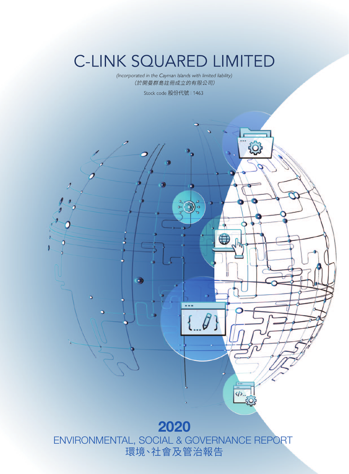# **C-LINK SQUARED LIMITED**

(Incorporated in the Cayman Islands with limited liability) (於開曼群島註冊成立的有限公司)

Stock code 股份代號: 1463



ENVIRONMENTAL, SOCIAL & GOVERNANCE REPORT 環境、社會及管治報告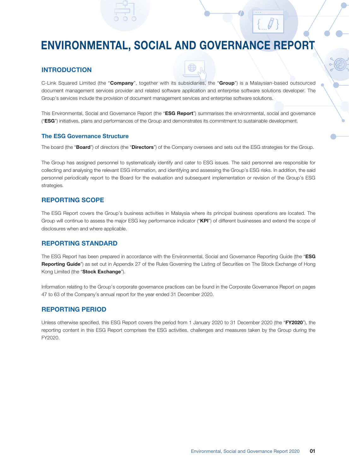## ENVIRONMENTAL, SOCIAL AND GOVERNANCE REPORT

#### **INTRODUCTION**

C-Link Squared Limited (the "Company", together with its subsidiaries, the "Group") is a Malaysian-based outsourced document management services provider and related software application and enterprise software solutions developer. The Group's services include the provision of document management services and enterprise software solutions.

This Environmental, Social and Governance Report (the "ESG Report") summarises the environmental, social and governance ("ESG") initiatives, plans and performances of the Group and demonstrates its commitment to sustainable development.

#### The ESG Governance Structure

The board (the "Board") of directors (the "Directors") of the Company oversees and sets out the ESG strategies for the Group.

The Group has assigned personnel to systematically identify and cater to ESG issues. The said personnel are responsible for collecting and analysing the relevant ESG information, and identifying and assessing the Group's ESG risks. In addition, the said personnel periodically report to the Board for the evaluation and subsequent implementation or revision of the Group's ESG strategies.

#### REPORTING SCOPE

The ESG Report covers the Group's business activities in Malaysia where its principal business operations are located. The Group will continue to assess the major ESG key performance indicator ("KPI") of different businesses and extend the scope of disclosures when and where applicable.

#### REPORTING STANDARD

The ESG Report has been prepared in accordance with the Environmental, Social and Governance Reporting Guide (the "ESG Reporting Guide") as set out in Appendix 27 of the Rules Governing the Listing of Securities on The Stock Exchange of Hong Kong Limited (the "Stock Exchange").

Information relating to the Group's corporate governance practices can be found in the Corporate Governance Report on pages 47 to 63 of the Company's annual report for the year ended 31 December 2020.

#### REPORTING PERIOD

Unless otherwise specified, this ESG Report covers the period from 1 January 2020 to 31 December 2020 (the "FY2020"), the reporting content in this ESG Report comprises the ESG activities, challenges and measures taken by the Group during the FY2020.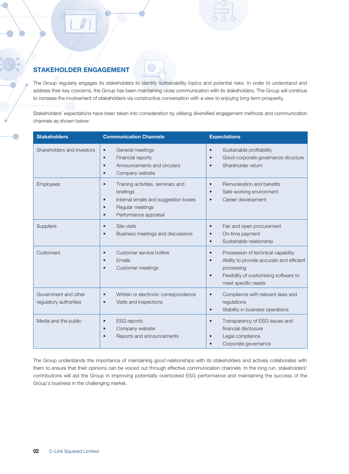### STAKEHOLDER ENGAGEMENT

The Group regularly engages its stakeholders to identify sustainability topics and potential risks. In order to understand and address their key concerns, the Group has been maintaining close communication with its stakeholders. The Group will continue to increase the involvement of stakeholders via constructive conversation with a view to enjoying long term prosperity.

Stakeholders' expectations have been taken into consideration by utilising diversified engagement methods and communication channels as shown below:

| <b>Stakeholders</b>                            | <b>Communication Channels</b>                                                                                                                                                           | <b>Expectations</b>                                                                                                                                                                                   |
|------------------------------------------------|-----------------------------------------------------------------------------------------------------------------------------------------------------------------------------------------|-------------------------------------------------------------------------------------------------------------------------------------------------------------------------------------------------------|
| Shareholders and investors                     | General meetings<br>$\bullet$<br>Financial reports<br>$\bullet$<br>Announcements and circulars<br>$\bullet$<br>Company website<br>$\bullet$                                             | Sustainable profitability<br>$\bullet$<br>Good corporate governance structure<br>$\bullet$<br>Shareholder return<br>$\bullet$                                                                         |
| Employees                                      | Training activities, seminars and<br>$\bullet$<br>briefings<br>Internal emails and suggestion boxes<br>$\bullet$<br>Regular meetings<br>$\bullet$<br>Performance appraisal<br>$\bullet$ | Remuneration and benefits<br>$\bullet$<br>Safe working environment<br>$\bullet$<br>Career development<br>$\bullet$                                                                                    |
| Suppliers                                      | Site visits<br>$\bullet$<br>Business meetings and discussions                                                                                                                           | Fair and open procurement<br>$\bullet$<br>On-time payment<br>Sustainable relationship<br>$\bullet$                                                                                                    |
| Customers                                      | Customer service hotline<br>$\bullet$<br>Emails<br>$\bullet$<br>Customer meetings<br>$\bullet$                                                                                          | Possession of technical capability<br>$\bullet$<br>Ability to provide accurate and efficient<br>$\bullet$<br>processing<br>Flexibility of customising software to<br>$\bullet$<br>meet specific needs |
| Government and other<br>regulatory authorities | Written or electronic correspondence<br>$\bullet$<br>Visits and inspections<br>$\bullet$                                                                                                | Compliance with relevant laws and<br>$\bullet$<br>regulations<br>Stability in business operations<br>$\bullet$                                                                                        |
| Media and the public                           | <b>ESG</b> reports<br>$\bullet$<br>Company website<br>$\bullet$<br>Reports and announcements                                                                                            | Transparency of ESG issues and<br>$\bullet$<br>financial disclosure<br>Legal compliance<br>Corporate governance                                                                                       |

The Group understands the importance of maintaining good relationships with its stakeholders and actively collaborates with them to ensure that their opinions can be voiced out through effective communication channels. In the long run, stakeholders' contributions will aid the Group in improving potentially overlooked ESG performance and maintaining the success of the Group's business in the challenging market.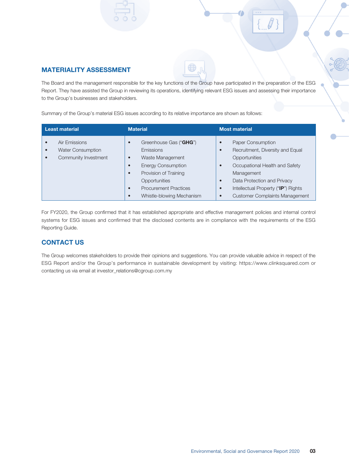

#### MATERIALITY ASSESSMENT

The Board and the management responsible for the key functions of the Group have participated in the preparation of the ESG Report. They have assisted the Group in reviewing its operations, identifying relevant ESG issues and assessing their importance to the Group's businesses and stakeholders.

Summary of the Group's material ESG issues according to its relative importance are shown as follows:

| <b>Least material</b>                                             | <b>Material</b>                                                                                                                                                                                                                                 | <b>Most material</b>                                                                                                                                                                                                                  |
|-------------------------------------------------------------------|-------------------------------------------------------------------------------------------------------------------------------------------------------------------------------------------------------------------------------------------------|---------------------------------------------------------------------------------------------------------------------------------------------------------------------------------------------------------------------------------------|
| Air Emissions<br><b>Water Consumption</b><br>Community Investment | Greenhouse Gas ("GHG")<br>Emissions<br>Waste Management<br>$\bullet$<br><b>Energy Consumption</b><br>$\bullet$<br>Provision of Training<br>Opportunities<br><b>Procurement Practices</b><br>$\bullet$<br>Whistle-blowing Mechanism<br>$\bullet$ | Paper Consumption<br>Recruitment, Diversity and Equal<br>Opportunities<br>Occupational Health and Safety<br>Management<br>Data Protection and Privacy<br>Intellectual Property ("IP") Rights<br><b>Customer Complaints Management</b> |

For FY2020, the Group confirmed that it has established appropriate and effective management policies and internal control systems for ESG issues and confirmed that the disclosed contents are in compliance with the requirements of the ESG Reporting Guide.

#### CONTACT US

The Group welcomes stakeholders to provide their opinions and suggestions. You can provide valuable advice in respect of the ESG Report and/or the Group's performance in sustainable development by visiting: https://[www.clinksquared.com](http://www.clinksquared.com/) or contacting us via email at [investor\\_relations@cgroup.com.my](mailto:investor_relations@cgroup.com.my)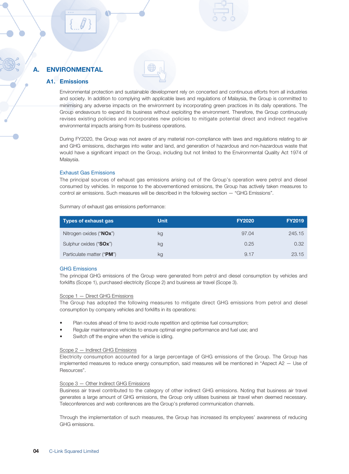#### A1. Emissions

Environmental protection and sustainable development rely on concerted and continuous efforts from all industries and society. In addition to complying with applicable laws and regulations of Malaysia, the Group is committed to minimising any adverse impacts on the environment by incorporating green practices in its daily operations. The Group endeavours to expand its business without exploiting the environment. Therefore, the Group continuously revises existing policies and incorporates new policies to mitigate potential direct and indirect negative environmental impacts arising from its business operations.

During FY2020, the Group was not aware of any material non-compliance with laws and regulations relating to air and GHG emissions, discharges into water and land, and generation of hazardous and non-hazardous waste that would have a significant impact on the Group, including but not limited to the Environmental Quality Act 1974 of Malaysia.

#### Exhaust Gas Emissions

The principal sources of exhaust gas emissions arising out of the Group's operation were petrol and diesel consumed by vehicles. In response to the abovementioned emissions, the Group has actively taken measures to control air emissions. Such measures will be described in the following section — "GHG Emissions".

| <b>Types of exhaust gas</b> | <b>Unit</b> | <b>FY2020</b> | <b>FY2019</b> |
|-----------------------------|-------------|---------------|---------------|
| Nitrogen oxides ("NOx")     | kg          | 97.04         | 245.15        |
| Sulphur oxides ("SOx")      | kg          | 0.25          | 0.32          |
| Particulate matter ("PM")   | kg          | 9.17          | 23.15         |

Summary of exhaust gas emissions performance:

#### GHG Emissions

The principal GHG emissions of the Group were generated from petrol and diesel consumption by vehicles and forklifts (Scope 1), purchased electricity (Scope 2) and business air travel (Scope 3).

#### Scope 1 — Direct GHG Emissions

The Group has adopted the following measures to mitigate direct GHG emissions from petrol and diesel consumption by company vehicles and forklifts in its operations:

- Plan routes ahead of time to avoid route repetition and optimise fuel consumption;
- Regular maintenance vehicles to ensure optimal engine performance and fuel use; and
- Switch off the engine when the vehicle is idling.

#### Scope 2 — Indirect GHG Emissions

Electricity consumption accounted for a large percentage of GHG emissions of the Group. The Group has implemented measures to reduce energy consumption, said measures will be mentioned in "Aspect A2 — Use of Resources".

#### Scope 3 — Other Indirect GHG Emissions

Business air travel contributed to the category of other indirect GHG emissions. Noting that business air travel generates a large amount of GHG emissions, the Group only utilises business air travel when deemed necessary. Teleconferences and web conferences are the Group's preferred communication channels.

Through the implementation of such measures, the Group has increased its employees' awareness of reducing GHG emissions.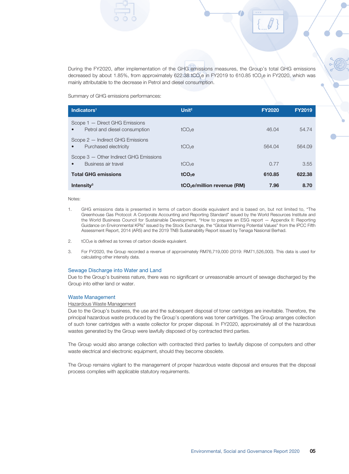During the FY2020, after implementation of the GHG emissions measures, the Group's total GHG emissions decreased by about 1.85%, from approximately 622.38 tCO<sub>2</sub>e in FY2019 to 610.85 tCO<sub>2</sub>e in FY2020, which was mainly attributable to the decrease in Petrol and diesel consumption.

Summary of GHG emissions performances:

| Indicators <sup>1</sup>                                         | Unit $2$                                | <b>FY2020</b> | <b>FY2019</b> |
|-----------------------------------------------------------------|-----------------------------------------|---------------|---------------|
| Scope 1 - Direct GHG Emissions<br>Petrol and diesel consumption | $tCO2$ e                                | 46.04         | 54.74         |
| Scope 2 - Indirect GHG Emissions<br>Purchased electricity       | $tCO2$ e                                | 564.04        | 564.09        |
| Scope 3 - Other Indirect GHG Emissions<br>Business air travel   | $tCO2$ e                                | 0.77          | 3.55          |
| <b>Total GHG emissions</b>                                      | tCO <sub>2</sub> e                      | 610.85        | 622.38        |
| Intensity $3$                                                   | tCO <sub>2</sub> e/million revenue (RM) | 7.96          | 8.70          |

Notes:

- 1. GHG emissions data is presented in terms of carbon dioxide equivalent and is based on, but not limited to, "The Greenhouse Gas Protocol: A Corporate Accounting and Reporting Standard" issued by the World Resources Institute and the World Business Council for Sustainable Development, "How to prepare an ESG report — Appendix II: Reporting Guidance on Environmental KPIs" issued by the Stock Exchange, the "Global Warming Potential Values" from the IPCC Fifth Assessment Report, 2014 (AR5) and the 2019 TNB Sustainability Report issued by Tenaga Nasional Berhad.
- 2. tCO<sub>2</sub>e is defined as tonnes of carbon dioxide equivalent.
- 3. For FY2020, the Group recorded a revenue of approximately RM76,719,000 (2019: RM71,526,000). This data is used for calculating other intensity data.

#### Sewage Discharge into Water and Land

Due to the Group's business nature, there was no significant or unreasonable amount of sewage discharged by the Group into either land or water.

#### Waste Management

#### Hazardous Waste Management

Due to the Group's business, the use and the subsequent disposal of toner cartridges are inevitable. Therefore, the principal hazardous waste produced by the Group's operations was toner cartridges. The Group arranges collection of such toner cartridges with a waste collector for proper disposal. In FY2020, approximately all of the hazardous wastes generated by the Group were lawfully disposed of by contracted third parties.

The Group would also arrange collection with contracted third parties to lawfully dispose of computers and other waste electrical and electronic equipment, should they become obsolete.

The Group remains vigilant to the management of proper hazardous waste disposal and ensures that the disposal process complies with applicable statutory requirements.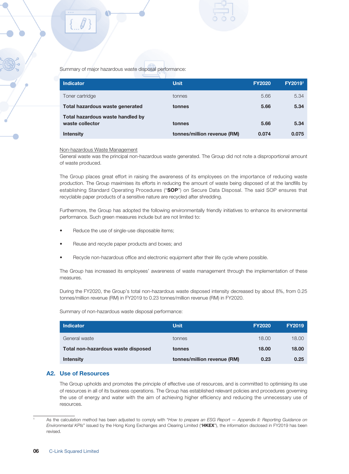

Summary of major hazardous waste disposal performance:

| <b>Indicator</b>                                    | <b>Unit</b>                 | <b>FY2020</b> | FY20191 |
|-----------------------------------------------------|-----------------------------|---------------|---------|
| Toner cartridge                                     | tonnes                      | 5.66          | 5.34    |
| Total hazardous waste generated                     | tonnes                      | 5.66          | 5.34    |
| Total hazardous waste handled by<br>waste collector | tonnes                      | 5.66          | 5.34    |
| <b>Intensity</b>                                    | tonnes/million revenue (RM) | 0.074         | 0.075   |

#### Non-hazardous Waste Management

General waste was the principal non-hazardous waste generated. The Group did not note a disproportional amount of waste produced.

The Group places great effort in raising the awareness of its employees on the importance of reducing waste production. The Group maximises its efforts in reducing the amount of waste being disposed of at the landfills by establishing Standard Operating Procedures ("SOP") on Secure Data Disposal. The said SOP ensures that recyclable paper products of a sensitive nature are recycled after shredding.

Furthermore, the Group has adopted the following environmentally friendly initiatives to enhance its environmental performance. Such green measures include but are not limited to:

- Reduce the use of single-use disposable items;
- Reuse and recycle paper products and boxes; and
- Recycle non-hazardous office and electronic equipment after their life cycle where possible.

The Group has increased its employees' awareness of waste management through the implementation of these measures.

During the FY2020, the Group's total non-hazardous waste disposed intensity decreased by about 8%, from 0.25 tonnes/million revenue (RM) in FY2019 to 0.23 tonnes/million revenue (RM) in FY2020.

Summary of non-hazardous waste disposal performance:

| <b>Indicator</b>                   | <b>Unit</b>                 | <b>FY2020</b> | <b>FY2019</b> |
|------------------------------------|-----------------------------|---------------|---------------|
| General waste                      | tonnes                      | 18.00         | 18.00         |
| Total non-hazardous waste disposed | tonnes                      | 18.00         | 18.00         |
| <b>Intensity</b>                   | tonnes/million revenue (RM) | 0.23          | 0.25          |

#### A2. Use of Resources

The Group upholds and promotes the principle of effective use of resources, and is committed to optimising its use of resources in all of its business operations. The Group has established relevant policies and procedures governing the use of energy and water with the aim of achieving higher efficiency and reducing the unnecessary use of resources.

<sup>1</sup> As the calculation method has been adjusted to comply with "*How to prepare an ESG Report — Appendix II: Reporting Guidance on Environmental KPIs*" issued by the Hong Kong Exchanges and Clearing Limited ("HKEX"), the information disclosed in FY2019 has been revised.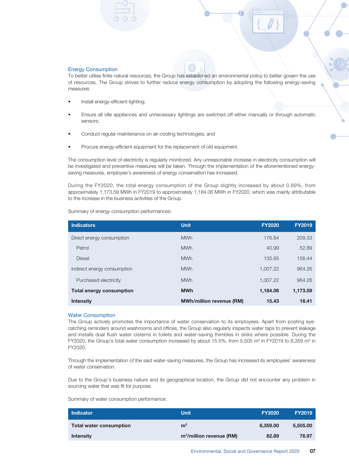#### Energy Consumption

To better utilise finite natural resources, the Group has established an environmental policy to better govern the use of resources. The Group strives to further reduce energy consumption by adopting the following energy-saving measures:

- Install energy-efficient lighting;
- Ensure all idle appliances and unnecessary lightings are switched off either manually or through automatic sensors;
- Conduct regular maintenance on air-cooling technologies; and
- Procure energy-efficient equipment for the replacement of old equipment.

The consumption level of electricity is regularly monitored. Any unreasonable increase in electricity consumption will be investigated and preventive measures will be taken. Through the implementation of the aforementioned energysaving measures, employee's awareness of energy conservation has increased.

During the FY2020, the total energy consumption of the Group slightly increased by about 0.89%, from approximately 1,173.59 MWh in FY2019 to approximately 1,184.06 MWh in FY2020, which was mainly attributable to the increase in the business activities of the Group.

Summary of energy consumption performances:

| <b>Indicators</b>               | <b>Unit</b>                     | <b>FY2020</b> | <b>FY2019</b> |
|---------------------------------|---------------------------------|---------------|---------------|
| Direct energy consumption       | <b>MWh</b>                      | 176.84        | 209.33        |
| Petrol                          | <b>MWh</b>                      | 40.99         | 52.89         |
| <b>Diesel</b>                   | <b>MWh</b>                      | 135.85        | 156.44        |
| Indirect energy consumption     | <b>MWh</b>                      | 1,007.22      | 964.26        |
| Purchased electricity           | <b>MWh</b>                      | 1.007.22      | 964.26        |
| <b>Total energy consumption</b> | <b>MWh</b>                      | 1,184.06      | 1,173.59      |
| <b>Intensity</b>                | <b>MWh/million revenue (RM)</b> | 15.43         | 16.41         |

#### Water Consumption

The Group actively promotes the importance of water conservation to its employees. Apart from posting eyecatching reminders around washrooms and offices, the Group also regularly inspects water taps to prevent leakage and installs dual flush water cisterns in toilets and water-saving thimbles in sinks where possible. During the FY2020, the Group's total water consumption increased by about 15.5%, from 5,505 m<sup>3</sup> in FY2019 to 6,359 m<sup>3</sup> in FY2020.

Through the implementation of the said water-saving measures, the Group has increased its employees' awareness of water conservation.

Due to the Group's business nature and its geographical location, the Group did not encounter any problem in sourcing water that was fit for purpose.

Summary of water consumption performance:

| <b>Indicator</b>               | <b>Unit</b>               | <b>FY2020</b> | <b>FY2019</b> |
|--------------------------------|---------------------------|---------------|---------------|
| <b>Total water consumption</b> | m <sup>3</sup>            | 6.359.00      | 5,505,00      |
| <b>Intensity</b>               | $m3/million$ revenue (RM) | 82.89         | 76.97         |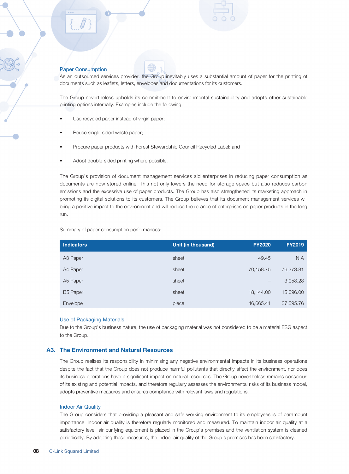#### Paper Consumption

As an outsourced services provider, the Group inevitably uses a substantial amount of paper for the printing of documents such as leaflets, letters, envelopes and documentations for its customers.

The Group nevertheless upholds its commitment to environmental sustainability and adopts other sustainable printing options internally. Examples include the following:

- Use recycled paper instead of virgin paper;
- Reuse single-sided waste paper;
- Procure paper products with Forest Stewardship Council Recycled Label; and
- Adopt double-sided printing where possible.

The Group's provision of document management services aid enterprises in reducing paper consumption as documents are now stored online. This not only lowers the need for storage space but also reduces carbon emissions and the excessive use of paper products. The Group has also strengthened its marketing approach in promoting its digital solutions to its customers. The Group believes that its document management services will bring a positive impact to the environment and will reduce the reliance of enterprises on paper products in the long run.

Summary of paper consumption performances:

| <b>Indicators</b>    | Unit (in thousand) | <b>FY2020</b> | <b>FY2019</b> |
|----------------------|--------------------|---------------|---------------|
| A <sub>3</sub> Paper | sheet              | 49.45         | N.A           |
| A4 Paper             | sheet              | 70,158.75     | 76,373.81     |
| A5 Paper             | sheet              |               | 3,058.28      |
| <b>B5 Paper</b>      | sheet              | 18,144.00     | 15,096.00     |
| Envelope             | piece              | 46,665.41     | 37,595.76     |

#### Use of Packaging Materials

Due to the Group's business nature, the use of packaging material was not considered to be a material ESG aspect to the Group.

#### A3. The Environment and Natural Resources

The Group realises its responsibility in minimising any negative environmental impacts in its business operations despite the fact that the Group does not produce harmful pollutants that directly affect the environment, nor does its business operations have a significant impact on natural resources. The Group nevertheless remains conscious of its existing and potential impacts, and therefore regularly assesses the environmental risks of its business model, adopts preventive measures and ensures compliance with relevant laws and regulations.

#### Indoor Air Quality

The Group considers that providing a pleasant and safe working environment to its employees is of paramount importance. Indoor air quality is therefore regularly monitored and measured. To maintain indoor air quality at a satisfactory level, air purifying equipment is placed in the Group's premises and the ventilation system is cleaned periodically. By adopting these measures, the indoor air quality of the Group's premises has been satisfactory.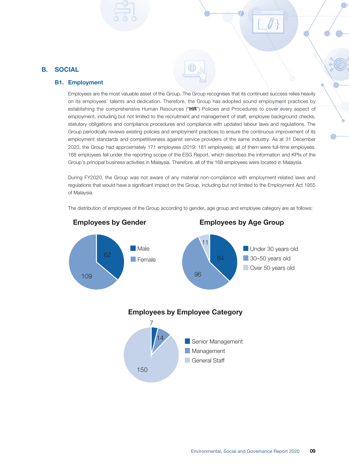#### B. SOCIAL

#### B1. Employment

Employees are the most valuable asset of the Group. The Group recognises that its continued success relies heavily on its employees' talents and dedication. Therefore, the Group has adopted sound employment practices by establishing the comprehensive Human Resources ("HR") Policies and Procedures to cover every aspect of employment, including but not limited to the recruitment and management of staff, employee background checks, statutory obligations and compliance procedures and compliance with updated labour laws and regulations. The Group periodically reviews existing policies and employment practices to ensure the continuous improvement of its employment standards and competitiveness against service providers of the same industry. As at 31 December 2020, the Group had approximately 171 employees (2019: 181 employees); all of them were full-time employees. 168 employees fell under the reporting scope of the ESG Report, which describes the information and KPIs of the Group's principal business activities in Malaysia. Therefore, all of the 168 employees were located in Malaysia.

During FY2020, the Group was not aware of any material non-compliance with employment-related laws and regulations that would have a significant impact on the Group, including but not limited to the Employment Act 1955 of Malaysia.

The distribution of employees of the Group according to gender, age group and employee category are as follows:

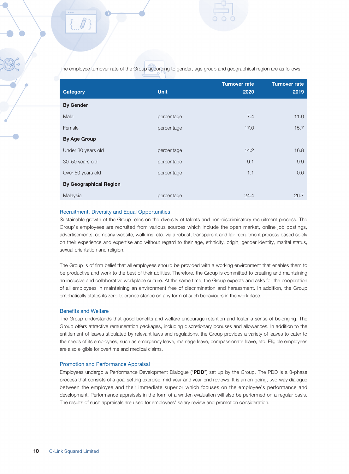The employee turnover rate of the Group according to gender, age group and geographical region are as follows:

| <b>Category</b>               | <b>Unit</b> | <b>Turnover rate</b><br>2020 | <b>Turnover rate</b><br>2019 |
|-------------------------------|-------------|------------------------------|------------------------------|
| <b>By Gender</b>              |             |                              |                              |
| Male                          | percentage  | 7.4                          | 11.0                         |
| Female                        | percentage  | 17.0                         | 15.7                         |
| <b>By Age Group</b>           |             |                              |                              |
| Under 30 years old            | percentage  | 14.2                         | 16.8                         |
| 30-50 years old               | percentage  | 9.1                          | 9.9                          |
| Over 50 years old             | percentage  | 1.1                          | 0.0                          |
| <b>By Geographical Region</b> |             |                              |                              |
| Malaysia                      | percentage  | 24.4                         | 26.7                         |

#### Recruitment, Diversity and Equal Opportunities

Sustainable growth of the Group relies on the diversity of talents and non-discriminatory recruitment process. The Group's employees are recruited from various sources which include the open market, online job postings, advertisements, company website, walk-ins, etc. via a robust, transparent and fair recruitment process based solely on their experience and expertise and without regard to their age, ethnicity, origin, gender identity, marital status, sexual orientation and religion.

The Group is of firm belief that all employees should be provided with a working environment that enables them to be productive and work to the best of their abilities. Therefore, the Group is committed to creating and maintaining an inclusive and collaborative workplace culture. At the same time, the Group expects and asks for the cooperation of all employees in maintaining an environment free of discrimination and harassment. In addition, the Group emphatically states its zero-tolerance stance on any form of such behaviours in the workplace.

#### Benefits and Welfare

The Group understands that good benefits and welfare encourage retention and foster a sense of belonging. The Group offers attractive remuneration packages, including discretionary bonuses and allowances. In addition to the entitlement of leaves stipulated by relevant laws and regulations, the Group provides a variety of leaves to cater to the needs of its employees, such as emergency leave, marriage leave, compassionate leave, etc. Eligible employees are also eligible for overtime and medical claims.

#### Promotion and Performance Appraisal

Employees undergo a Performance Development Dialogue ("PDD") set up by the Group. The PDD is a 3-phase process that consists of a goal setting exercise, mid-year and year-end reviews. It is an on-going, two-way dialogue between the employee and their immediate superior which focuses on the employee's performance and development. Performance appraisals in the form of a written evaluation will also be performed on a regular basis. The results of such appraisals are used for employees' salary review and promotion consideration.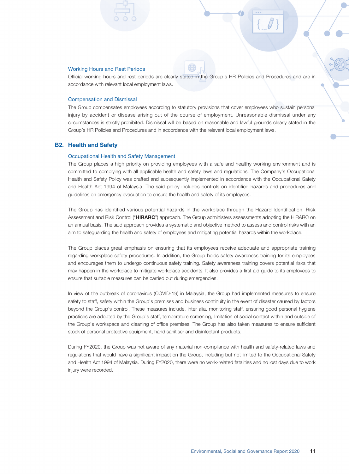#### Working Hours and Rest Periods

Official working hours and rest periods are clearly stated in the Group's HR Policies and Procedures and are in accordance with relevant local employment laws.

#### Compensation and Dismissal

The Group compensates employees according to statutory provisions that cover employees who sustain personal injury by accident or disease arising out of the course of employment. Unreasonable dismissal under any circumstances is strictly prohibited. Dismissal will be based on reasonable and lawful grounds clearly stated in the Group's HR Policies and Procedures and in accordance with the relevant local employment laws.

#### B2. Health and Safety

#### Occupational Health and Safety Management

The Group places a high priority on providing employees with a safe and healthy working environment and is committed to complying with all applicable health and safety laws and regulations. The Company's Occupational Health and Safety Policy was drafted and subsequently implemented in accordance with the Occupational Safety and Health Act 1994 of Malaysia. The said policy includes controls on identified hazards and procedures and guidelines on emergency evacuation to ensure the health and safety of its employees.

The Group has identified various potential hazards in the workplace through the Hazard Identification, Risk Assessment and Risk Control ("HIRARC") approach. The Group administers assessments adopting the HIRARC on an annual basis. The said approach provides a systematic and objective method to assess and control risks with an aim to safeguarding the health and safety of employees and mitigating potential hazards within the workplace.

The Group places great emphasis on ensuring that its employees receive adequate and appropriate training regarding workplace safety procedures. In addition, the Group holds safety awareness training for its employees and encourages them to undergo continuous safety training. Safety awareness training covers potential risks that may happen in the workplace to mitigate workplace accidents. It also provides a first aid guide to its employees to ensure that suitable measures can be carried out during emergencies.

In view of the outbreak of coronavirus (COVID-19) in Malaysia, the Group had implemented measures to ensure safety to staff, safety within the Group's premises and business continuity in the event of disaster caused by factors beyond the Group's control. These measures include, inter alia, monitoring staff, ensuring good personal hygiene practices are adopted by the Group's staff, temperature screening, limitation of social contact within and outside of the Group's workspace and cleaning of office premises. The Group has also taken measures to ensure sufficient stock of personal protective equipment, hand sanitiser and disinfectant products.

During FY2020, the Group was not aware of any material non-compliance with health and safety-related laws and regulations that would have a significant impact on the Group, including but not limited to the Occupational Safety and Health Act 1994 of Malaysia. During FY2020, there were no work-related fatalities and no lost days due to work injury were recorded.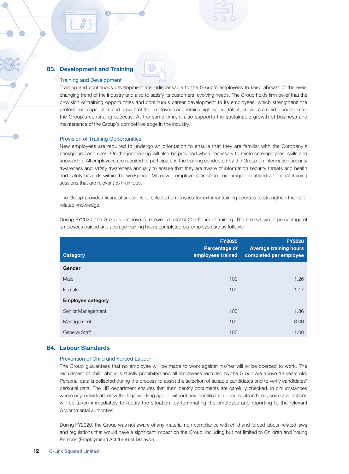#### B3. Development and Training

#### Training and Development

Training and continuous development are indispensable to the Group's employees to keep abreast of the everchanging trend of the industry and also to satisfy its customers' evolving needs. The Group holds firm belief that the provision of training opportunities and continuous career development to its employees, which strengthens the professional capabilities and growth of the employees and retains high-calibre talent, provides a solid foundation for the Group's continuing success. At the same time, it also supports the sustainable growth of business and maintenance of the Group's competitive edge in the industry.

#### Provision of Training Opportunities

New employees are required to undergo an orientation to ensure that they are familiar with the Company's background and rules. On-the-job training will also be provided when necessary to reinforce employees' skills and knowledge. All employees are required to participate in the training conducted by the Group on information security awareness and safety awareness annually to ensure that they are aware of information security threats and health and safety hazards within the workplace. Moreover, employees are also encouraged to attend additional training sessions that are relevant to their jobs.

The Group provides financial subsidies to selected employees for external training courses to strengthen their jobrelated knowledge.

During FY2020, the Group's employees received a total of 205 hours of training. The breakdown of percentage of employees trained and average training hours completed per employee are as follows:

| <b>Category</b>          | <b>FY2020</b><br><b>Percentage of</b><br>employees trained | <b>FY2020</b><br><b>Average training hours</b><br>completed per employee |
|--------------------------|------------------------------------------------------------|--------------------------------------------------------------------------|
| Gender                   |                                                            |                                                                          |
| Male                     | 100                                                        | 1.26                                                                     |
| Female                   | 100                                                        | 1.17                                                                     |
| <b>Employee category</b> |                                                            |                                                                          |
| Senior Management        | 100                                                        | 1.86                                                                     |
| Management               | 100                                                        | 3.00                                                                     |
| <b>General Staff</b>     | 100                                                        | 1.00                                                                     |

#### B4. Labour Standards

#### Prevention of Child and Forced Labour

The Group guarantees that no employee will be made to work against his/her will or be coerced to work. The recruitment of child labour is strictly prohibited and all employees recruited by the Group are above 18 years old. Personal data is collected during the process to assist the selection of suitable candidates and to verify candidates' personal data. The HR department ensures that their identity documents are carefully checked. In circumstances where any individual below the legal working age or without any identification documents is hired, corrective actions will be taken immediately to rectify the situation, by terminating the employee and reporting to the relevant Governmental authorities.

During FY2020, the Group was not aware of any material non-compliance with child and forced labour-related laws and regulations that would have a significant impact on the Group, including but not limited to Children and Young Persons (Employment) Act 1966 of Malaysia.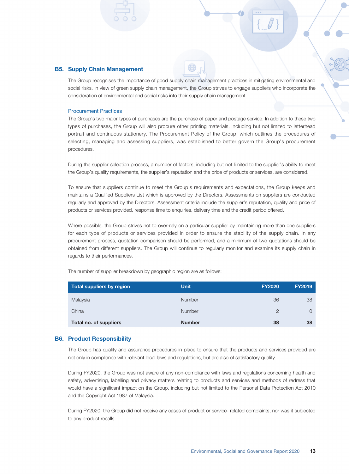#### B5. Supply Chain Management

The Group recognises the importance of good supply chain management practices in mitigating environmental and social risks. In view of green supply chain management, the Group strives to engage suppliers who incorporate the consideration of environmental and social risks into their supply chain management.

#### Procurement Practices

The Group's two major types of purchases are the purchase of paper and postage service. In addition to these two types of purchases, the Group will also procure other printing materials, including but not limited to letterhead portrait and continuous stationery. The Procurement Policy of the Group, which outlines the procedures of selecting, managing and assessing suppliers, was established to better govern the Group's procurement procedures.

During the supplier selection process, a number of factors, including but not limited to the supplier's ability to meet the Group's quality requirements, the supplier's reputation and the price of products or services, are considered.

To ensure that suppliers continue to meet the Group's requirements and expectations, the Group keeps and maintains a Qualified Suppliers List which is approved by the Directors. Assessments on suppliers are conducted regularly and approved by the Directors. Assessment criteria include the supplier's reputation, quality and price of products or services provided, response time to enquiries, delivery time and the credit period offered.

Where possible, the Group strives not to over-rely on a particular supplier by maintaining more than one suppliers for each type of products or services provided in order to ensure the stability of the supply chain. In any procurement process, quotation comparison should be performed, and a minimum of two quotations should be obtained from different suppliers. The Group will continue to regularly monitor and examine its supply chain in regards to their performances.

The number of supplier breakdown by geographic region are as follows:

| Total suppliers by region | <b>Unit</b>   | <b>FY2020</b> | <b>FY2019</b> |
|---------------------------|---------------|---------------|---------------|
| Malaysia                  | <b>Number</b> | 36            | 38            |
| China                     | <b>Number</b> | $\mathcal{P}$ | $\Omega$      |
| Total no. of suppliers    | <b>Number</b> | 38            | 38            |

#### B6. Product Responsibility

The Group has quality and assurance procedures in place to ensure that the products and services provided are not only in compliance with relevant local laws and regulations, but are also of satisfactory quality.

During FY2020, the Group was not aware of any non-compliance with laws and regulations concerning health and safety, advertising, labelling and privacy matters relating to products and services and methods of redress that would have a significant impact on the Group, including but not limited to the Personal Data Protection Act 2010 and the Copyright Act 1987 of Malaysia.

During FY2020, the Group did not receive any cases of product or service- related complaints, nor was it subjected to any product recalls.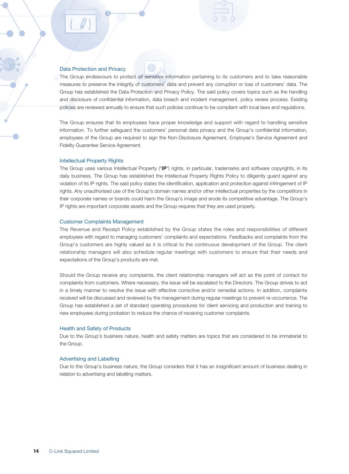#### Data Protection and Privacy

The Group endeavours to protect all sensitive information pertaining to its customers and to take reasonable measures to preserve the integrity of customers' data and prevent any corruption or loss of customers' data. The Group has established the Data Protection and Privacy Policy. The said policy covers topics such as the handling and disclosure of confidential information, data breach and incident management, policy review process. Existing policies are reviewed annually to ensure that such policies continue to be compliant with local laws and regulations.

The Group ensures that its employees have proper knowledge and support with regard to handling sensitive information. To further safeguard the customers' personal data privacy and the Group's confidential information, employees of the Group are required to sign the Non-Disclosure Agreement, Employee's Service Agreement and Fidelity Guarantee Service Agreement.

#### Intellectual Property Rights

The Group uses various Intellectual Property ("IP") rights, in particular, trademarks and software copyrights, in its daily business. The Group has established the Intellectual Property Rights Policy to diligently guard against any violation of its IP rights. The said policy states the identification, application and protection against infringement of IP rights. Any unauthorised use of the Group's domain names and/or other intellectual properties by the competitors in their corporate names or brands could harm the Group's image and erode its competitive advantage. The Group's IP rights are important corporate assets and the Group requires that they are used properly.

#### Customer Complaints Management

The Revenue and Receipt Policy established by the Group states the roles and responsibilities of different employees with regard to managing customers' complaints and expectations. Feedbacks and complaints from the Group's customers are highly valued as it is critical to the continuous development of the Group. The client relationship managers will also schedule regular meetings with customers to ensure that their needs and expectations of the Group's products are met.

Should the Group receive any complaints, the client relationship managers will act as the point of contact for complaints from customers. Where necessary, the issue will be escalated to the Directors. The Group strives to act in a timely manner to resolve the issue with effective corrective and/or remedial actions. In addition, complaints received will be discussed and reviewed by the management during regular meetings to prevent re-occurrence. The Group has established a set of standard operating procedures for client servicing and production and training to new employees during probation to reduce the chance of receiving customer complaints.

#### Health and Safety of Products

Due to the Group's business nature, health and safety matters are topics that are considered to be immaterial to the Group.

#### Advertising and Labelling

Due to the Group's business nature, the Group considers that it has an insignificant amount of business dealing in relation to advertising and labelling matters.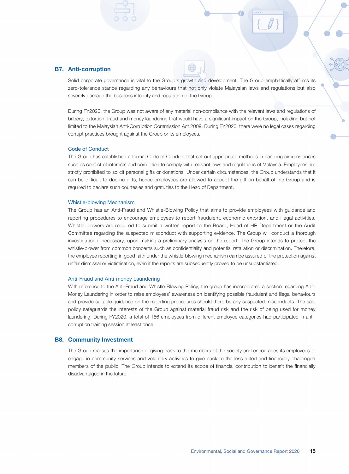#### B7. Anti-corruption

Solid corporate governance is vital to the Group's growth and development. The Group emphatically affirms its zero-tolerance stance regarding any behaviours that not only violate Malaysian laws and regulations but also severely damage the business integrity and reputation of the Group.

During FY2020, the Group was not aware of any material non-compliance with the relevant laws and regulations of bribery, extortion, fraud and money laundering that would have a significant impact on the Group, including but not limited to the Malaysian Anti-Corruption Commission Act 2009. During FY2020, there were no legal cases regarding corrupt practices brought against the Group or its employees.

#### Code of Conduct

The Group has established a formal Code of Conduct that set out appropriate methods in handling circumstances such as conflict of interests and corruption to comply with relevant laws and regulations of Malaysia. Employees are strictly prohibited to solicit personal gifts or donations. Under certain circumstances, the Group understands that it can be difficult to decline gifts, hence employees are allowed to accept the gift on behalf of the Group and is required to declare such courtesies and gratuities to the Head of Department.

#### Whistle-blowing Mechanism

The Group has an Anti-Fraud and Whistle-Blowing Policy that aims to provide employees with guidance and reporting procedures to encourage employees to report fraudulent, economic extortion, and illegal activities. Whistle-blowers are required to submit a written report to the Board, Head of HR Department or the Audit Committee regarding the suspected misconduct with supporting evidence. The Group will conduct a thorough investigation if necessary, upon making a preliminary analysis on the report. The Group intends to protect the whistle-blower from common concerns such as confidentiality and potential retaliation or discrimination. Therefore, the employee reporting in good faith under the whistle-blowing mechanism can be assured of the protection against unfair dismissal or victimisation, even if the reports are subsequently proved to be unsubstantiated.

#### Anti-Fraud and Anti-money Laundering

With reference to the Anti-Fraud and Whistle-Blowing Policy, the group has incorporated a section regarding Anti-Money Laundering in order to raise employees' awareness on identifying possible fraudulent and illegal behaviours and provide suitable guidance on the reporting procedures should there be any suspected misconducts. The said policy safeguards the interests of the Group against material fraud risk and the risk of being used for money laundering. During FY2020, a total of 166 employees from different employee categories had participated in anticorruption training session at least once.

#### B8. Community Investment

The Group realises the importance of giving back to the members of the society and encourages its employees to engage in community services and voluntary activities to give back to the less-abled and financially challenged members of the public. The Group intends to extend its scope of financial contribution to benefit the financially disadvantaged in the future.